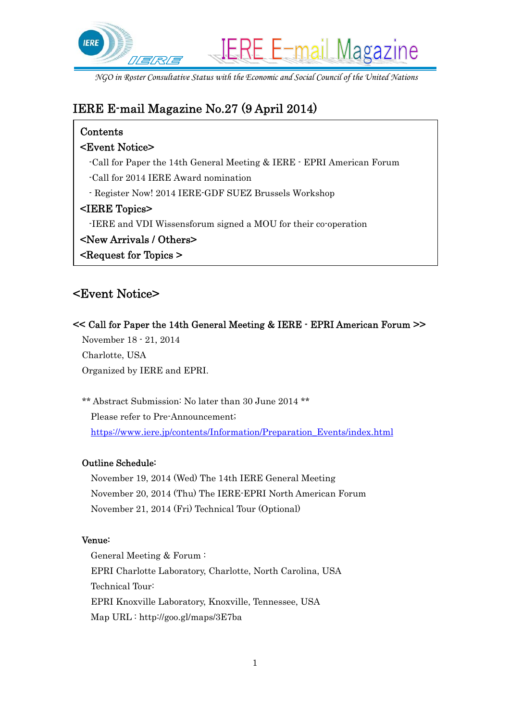

# IERE E-mail Magazine No.27 (9 April 2014)

## Contents

### <Event Notice>

- -Call for Paper the 14th General Meeting & IERE EPRI American Forum
- -Call for 2014 IERE Award nomination
- Register Now! 2014 IERE-GDF SUEZ Brussels Workshop

### <IERE Topics>

- -IERE and VDI Wissensforum signed a MOU for their co-operation
- <New Arrivals / Others>

<Request for Topics >

# <Event Notice>

### << Call for Paper the 14th General Meeting & IERE - EPRI American Forum >>

November 18 - 21, 2014 Charlotte, USA Organized by IERE and EPRI.

\*\* Abstract Submission: No later than 30 June 2014 \*\* Please refer to Pre-Announcement; https://www.iere.jp/contents/Information/Preparation\_Events/index.html

### Outline Schedule:

November 19, 2014 (Wed) The 14th IERE General Meeting November 20, 2014 (Thu) The IERE-EPRI North American Forum November 21, 2014 (Fri) Technical Tour (Optional)

### Venue:

General Meeting & Forum : EPRI Charlotte Laboratory, Charlotte, North Carolina, USA Technical Tour: EPRI Knoxville Laboratory, Knoxville, Tennessee, USA Map URL : http://goo.gl/maps/3E7ba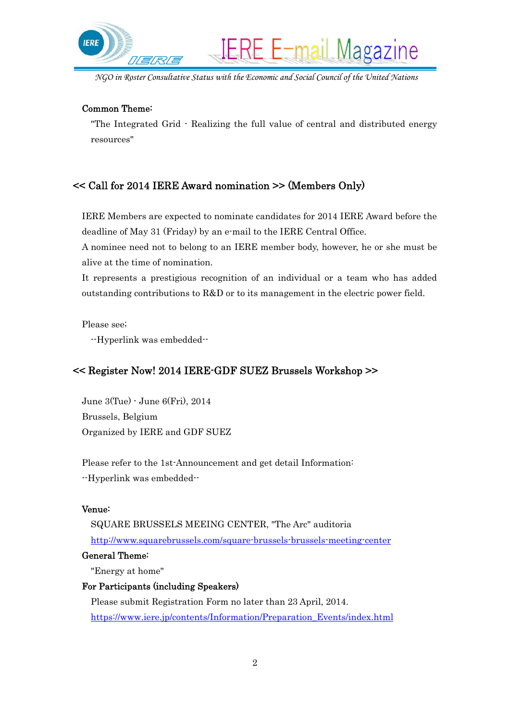

**IERE E-mail Magazine** 

#### Common Theme:

"The Integrated Grid - Realizing the full value of central and distributed energy resources"

#### << Call for 2014 IERE Award nomination >> (Members Only)

IERE Members are expected to nominate candidates for 2014 IERE Award before the deadline of May 31 (Friday) by an e-mail to the IERE Central Office.

A nominee need not to belong to an IERE member body, however, he or she must be alive at the time of nomination.

It represents a prestigious recognition of an individual or a team who has added outstanding contributions to R&D or to its management in the electric power field.

Please see;

--Hyperlink was embedded--

### << Register Now! 2014 IERE-GDF SUEZ Brussels Workshop >>

June 3(Tue) - June 6(Fri), 2014 Brussels, Belgium Organized by IERE and GDF SUEZ

Please refer to the 1st-Announcement and get detail Information: --Hyperlink was embedded--

#### Venue:

SQUARE BRUSSELS MEEING CENTER, "The Arc" auditoria http://www.squarebrussels.com/square-brussels-brussels-meeting-center

#### General Theme:

"Energy at home"

#### For Participants (including Speakers)

Please submit Registration Form no later than 23 April, 2014. https://www.iere.jp/contents/Information/Preparation\_Events/index.html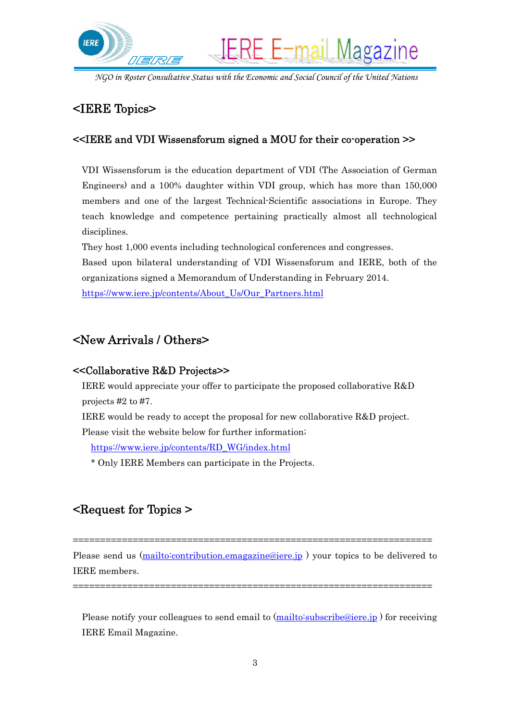

## <IERE Topics>

#### <<IERE and VDI Wissensforum signed a MOU for their co-operation >>

VDI Wissensforum is the education department of VDI (The Association of German Engineers) and a 100% daughter within VDI group, which has more than 150,000 members and one of the largest Technical-Scientific associations in Europe. They teach knowledge and competence pertaining practically almost all technological disciplines.

They host 1,000 events including technological conferences and congresses.

Based upon bilateral understanding of VDI Wissensforum and IERE, both of the organizations signed a Memorandum of Understanding in February 2014.

https://www.iere.jp/contents/About\_Us/Our\_Partners.html

## <New Arrivals / Others>

#### <<Collaborative R&D Projects>>

IERE would appreciate your offer to participate the proposed collaborative R&D projects #2 to #7.

IERE would be ready to accept the proposal for new collaborative R&D project.

Please visit the website below for further information;

https://www.iere.jp/contents/RD\_WG/index.html

\* Only IERE Members can participate in the Projects.

# <Request for Topics >

Please send us (mailto:contribution.emagazine@iere.jp) your topics to be delivered to IERE members.

==================================================================

==================================================================

Please notify your colleagues to send email to (mailto:subscribe@iere.jp) for receiving IERE Email Magazine.